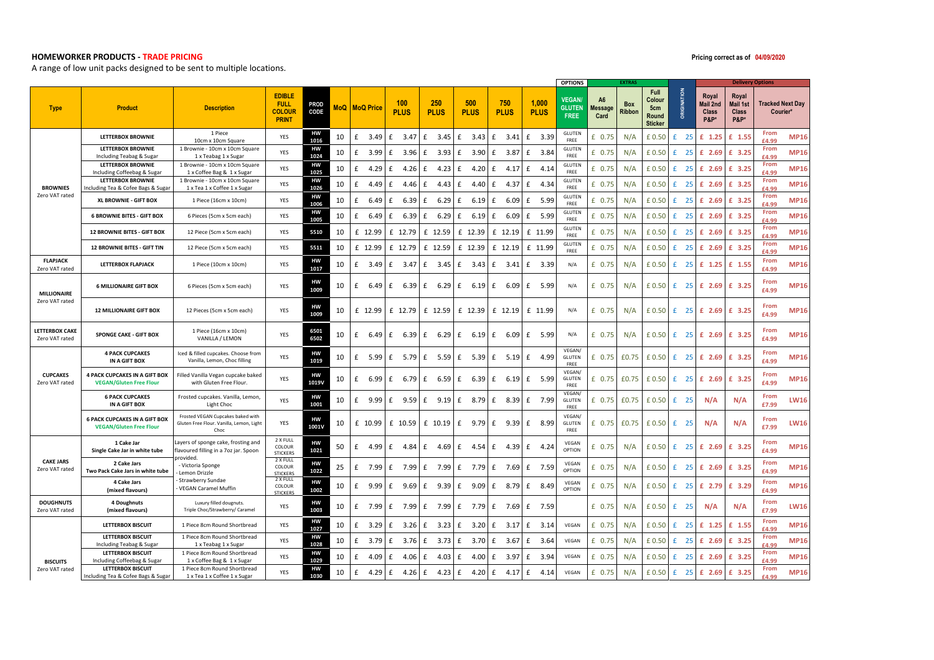## **HOMEWORKER PRODUCTS - TRADE PRICING**

A range of low unit packs designed to be sent to multiple locations.

|                                         |                                                                        |                                                                                           |                                                               |              |            |                  |        |                    |                  |                      |               |                            |                         |                      | <b>OPTIONS</b>                               |                                          | <b>EXTRAS</b>        |                                                  |           |                                                      |                                                             | <b>Delivery Options</b> |                         |
|-----------------------------------------|------------------------------------------------------------------------|-------------------------------------------------------------------------------------------|---------------------------------------------------------------|--------------|------------|------------------|--------|--------------------|------------------|----------------------|---------------|----------------------------|-------------------------|----------------------|----------------------------------------------|------------------------------------------|----------------------|--------------------------------------------------|-----------|------------------------------------------------------|-------------------------------------------------------------|-------------------------|-------------------------|
| <b>Type</b>                             | <b>Product</b>                                                         | <b>Description</b>                                                                        | <b>EDIBLE</b><br><b>FULL</b><br><b>COLOUR</b><br><b>PRINT</b> | PROD<br>CODE | <b>MoQ</b> | <b>MoQ Price</b> |        | 100<br><b>PLUS</b> |                  | 250<br><b>PLUS</b>   |               | 500<br><b>PLUS</b>         | 750<br><b>PLUS</b>      | 1,000<br><b>PLUS</b> | <b>VEGAN</b><br><b>GLUTEN</b><br><b>FREE</b> | A <sub>6</sub><br><b>Message</b><br>Card | <b>Box</b><br>Ribbon | Full<br>Colour<br>5cm<br>Round<br><b>Sticker</b> | GINATION  | Royal<br>Mail 2nd<br><b>Class</b><br><b>P&amp;P*</b> | Royal<br><b>Mail 1st</b><br><b>Class</b><br><b>P&amp;P*</b> | Courier*                | <b>Tracked Next Day</b> |
|                                         | <b>LETTERBOX BROWNIE</b>                                               | 1 Piece<br>10cm x 10cm Square                                                             | YES                                                           | HW<br>1016   | 10         | £                | 3.49   | £                  | 3.47             | $\mathbf{f}$<br>3.45 | f             | 3.43                       | £<br>3.41               | £<br>3.39            | GLUTEN<br>FREE                               | £ $0.75$                                 | N/A                  | £0.50                                            | -25<br>f. | $£$ 1.25                                             | £ 1.55                                                      | From<br>£4 Q            | <b>MP16</b>             |
| <b>BROWNIES</b><br>Zero VAT rated       | <b>LETTERBOX BROWNIE</b><br>Including Teabag & Sugar                   | 1 Brownie - 10cm x 10cm Square<br>1 x Teabag 1 x Sugar                                    | YES                                                           | HW<br>1024   | 10         | £                | 3.99   | £                  | 3.96             | £<br>3.93            | £             | 3.90                       | 3.87<br>Ι£              | £<br>3.84            | <b>GLUTEN</b><br>FREE                        | $£$ 0.75                                 | N/A                  | £0.50                                            | 25<br>£   | £ 2.69                                               | £ 3.25                                                      | From<br>£4.99           | <b>MP16</b>             |
|                                         | <b>LETTERBOX BROWNIE</b><br>Including Coffeebag & Sugar                | 1 Brownie - 10cm x 10cm Square<br>1 x Coffee Bag & 1 x Sugar                              | YES                                                           | HW<br>1025   | 10         | £                | 4.29   | £                  | 4.26             | 4.23<br>£            | £             | 4.20                       | 4.17<br>£               | £<br>4.14            | GLUTEN<br>FRFF                               | £ 0.75                                   | N/A                  | £0.50                                            | 25<br>f.  | £ 2.69                                               | £ 3.25                                                      | From<br>14.99           | <b>MP16</b>             |
|                                         | <b>LETTERBOX BROWNIE</b><br>Including Tea & Cofee Bags & Sugar         | 1 Brownie - 10cm x 10cm Square<br>1 x Tea 1 x Coffee 1 x Sugar                            | YES                                                           | нw<br>1026   | 10         | £                | 4.49   | £                  | 4.46             | £<br>4.43            | £             | 4.40                       | 4.37<br>£               | £<br>4.34            | <b>GLUTEN</b><br>FREE                        | £ 0.75                                   | N/A                  | £0.50                                            | -25<br>£  | £ 2.69                                               | £ 3.25                                                      | From<br>£4.99           | <b>MP16</b>             |
|                                         | XL BROWNIE - GIFT BOX                                                  | 1 Piece (16cm x 10cm)                                                                     | YES                                                           | нw<br>1006   | 10         | £                | 6.49   | £                  | 6.39             | £<br>6.29            | £             | $6.19$ $f$                 | 6.09                    | £<br>5.99            | <b>GLUTEN</b><br>FREE                        | £ 0.75                                   | N/A                  | £0.50                                            | 25<br>£   | £ 2.69                                               | £ 3.25                                                      | From<br>£4.99           | <b>MP16</b>             |
|                                         | <b>6 BROWNIE BITES - GIFT BOX</b>                                      | 6 Pieces (5cm x 5cm each)                                                                 | YES                                                           | нw<br>1005   | 10         | £                | 6.49   | £                  | 6.39             | £<br>6.29            | £             | 6.19                       | 6.09<br>E               | £<br>5.99            | <b>GLUTEN</b><br>FREE                        | £ $0.75$                                 | N/A                  | £0.50                                            | 25<br>£   | $£$ 2.69                                             | £ 3.25                                                      | From<br>£4.99           | <b>MP16</b>             |
|                                         | 12 BROWNIE BITES - GIFT BOX                                            | 12 Piece (5cm x 5cm each)                                                                 | YES                                                           | 5510         | 10         | £ 12.99          |        | £ 12.79            |                  | £ 12.59              |               | £ 12.39                    | £ 12.19                 | £ 11.99              | <b>GLUTEN</b><br>FREE                        | £ 0.75                                   | N/A                  | £0.50                                            | 25<br>£   | £ 2.69                                               | £ 3.25                                                      | From<br>£4.99           | <b>MP16</b>             |
|                                         | 12 BROWNIE BITES - GIFT TIN                                            | 12 Piece (5cm x 5cm each)                                                                 | YES                                                           | 5511         | 10         | £ 12.99          |        | £ 12.79            |                  | £ 12.59              |               | £ 12.39                    | £ 12.19                 | £ 11.99              | GLUTEN<br>FREE                               | £ 0.75                                   | N/A                  | £0.50                                            | 25<br>£   | £ 2.69                                               | £ 3.25                                                      | From<br>£4.99           | <b>MP16</b>             |
| <b>FLAPJACK</b><br>Zero VAT rated       | LETTERBOX FLAPJACK                                                     | 1 Piece (10cm x 10cm)                                                                     | YES                                                           | HW<br>1017   | 10         | £                | 3.49   | £                  | 3.47             | £<br>3.45            | £             | 3.43                       | 3.41<br>Ι£              | £<br>3.39            | N/A                                          | £ 0.75                                   | N/A                  | £0.50                                            | £<br>-25  | $£$ 1.25                                             | £ 1.55                                                      | From<br>£4.99           | <b>MP16</b>             |
| <b>MILLIONAIRE</b><br>Zero VAT rated    | <b>6 MILLIONAIRE GIFT BOX</b>                                          | 6 Pieces (5cm x 5cm each)                                                                 | YES                                                           | HW<br>1009   | 10         | £                | 6.49   | £                  | 6.39             | E<br>6.29            | £             | $6.19 \mid f$              | 6.09                    | £<br>5.99            | N/A                                          | £ 0.75                                   | N/A                  | £0.50                                            | £<br>25   | £ 2.69                                               | £ 3.25                                                      | From<br>£4.99           | <b>MP16</b>             |
|                                         | <b>12 MILLIONAIRE GIFT BOX</b>                                         | 12 Pieces (5cm x 5cm each)                                                                | YES                                                           | HW<br>1009   | 10         | £ 12.99          |        | £ 12.79            |                  | £ 12.59              |               | £ 12.39                    | £ 12.19                 | £ 11.99              | N/A                                          | £ 0.75                                   | N/A                  | £0.50                                            | £         | 25 £ 2.69                                            | £ 3.25                                                      | From<br>£4.99           | <b>MP16</b>             |
| <b>LETTERBOX CAKE</b><br>Zero VAT rated | <b>SPONGE CAKE - GIFT BOX</b>                                          | 1 Piece (16cm x 10cm)<br>VANILLA / LEMON                                                  | YES                                                           | 6501<br>6502 | 10         | £                | 6.49 E |                    | 6.39             | E<br>6.29            | Ι£            | 6.19                       | l £<br>6.09             | £<br>5.99            | N/A                                          | £ 0.75                                   | N/A                  | £0.50                                            | £<br>25   | £ 2.69                                               | £ 3.25                                                      | From<br>£4.99           | <b>MP16</b>             |
|                                         | <b>4 PACK CUPCAKES</b><br>IN A GIFT BOX                                | Iced & filled cupcakes. Choose from<br>Vanilla, Lemon, Choc filling                       | YES                                                           | HW<br>1019   | 10         | £                | 5.99   | £                  | $5.79 \text{ E}$ | 5.59                 | £             |                            | $5.39 \mid f = 5.19$    | £<br>4.99            | VEGAN/<br>GLUTEN<br>FREE                     | £ 0.75                                   | £0.75                | £ 0.50                                           | £         | 25 £ 2.69                                            | £ 3.25                                                      | From<br>£4.99           | <b>MP16</b>             |
| <b>CUPCAKES</b><br>Zero VAT rated       | 4 PACK CUPCAKES IN A GIFT BOX<br><b>VEGAN/Gluten Free Flour</b>        | Filled Vanilla Vegan cupcake baked<br>with Gluten Free Flour.                             | YES                                                           | HW<br>1019V  | 10         | £                | 6.99   | £                  | 6.79<br>E        | 6.59                 | £             | $6.39 \text{ f}$           | 6.19                    | £<br>5.99            | VEGAN/<br>GLUTEN<br>FREE                     | £ 0.75                                   | £0.75                | £ 0.50                                           | £<br>25   | £ 2.69                                               | £ 3.25                                                      | From<br>£4.99           | <b>MP16</b>             |
|                                         | <b>6 PACK CUPCAKES</b><br>IN A GIFT BOX                                | Frosted cupcakes. Vanilla, Lemon,<br>Light Choc                                           | YES                                                           | HW<br>1001   | 10         | £                | 9.99   | £                  | 9.59             | 9.19<br>£            | £             | 8.79 £                     | 8.39                    | £ 7.99               | VEGAN/<br><b>GLUTEN</b><br>FREE              | £ 0.75                                   | £0.75                | £ 0.50                                           | £<br>25   | N/A                                                  | N/A                                                         | From<br>£7.99           | <b>LW16</b>             |
|                                         | <b>6 PACK CUPCAKES IN A GIFT BOX</b><br><b>VEGAN/Gluten Free Flour</b> | Frosted VEGAN Cupcakes baked with<br>Gluten Free Flour. Vanilla, Lemon, Light<br>Choc     | YES                                                           | HW<br>1001V  | 10         | £ 10.99          |        | £ 10.59            |                  | £ 10.19              | £             |                            | $9.79 \mid f \mid 9.39$ | f<br>8.99            | VEGAN/<br><b>GLUTEN</b><br>FREE              | £ 0.75                                   | £0.75                | £0.50                                            | £<br>25   | N/A                                                  | N/A                                                         | From<br>£7.99           | <b>LW16</b>             |
|                                         | 1 Cake Jar<br>Single Cake Jar in white tube                            | Layers of sponge cake, frosting and<br>flavoured filling in a 7oz jar. Spoon<br>provided. | 2 X FULL<br>COLOUR<br><b>STICKERS</b>                         | HW<br>1021   | 50         | £                | 4.99   | £                  | 4.84             | £<br>4.69            | £             | 4.54                       | 4.39<br>E               | £<br>4.24            | VEGAN<br>OPTION                              | £ 0.75                                   | N/A                  | £0.50                                            | 25<br>£   | £ 2.69                                               | £ 3.25                                                      | From<br>£4.99           | <b>MP16</b>             |
| <b>CAKE JARS</b><br>Zero VAT rated      | 2 Cake Jars<br>Two Pack Cake Jars in white tube                        | - Victoria Sponge<br>Lemon Drizzle                                                        | 2 X FULL<br>COLOUR<br><b>STICKERS</b>                         | HW<br>1022   | 25         | £                | 7.99   | £                  | 7.99             | £<br>7.99            | £             | 7.79                       | Ι£<br>7.69              | £<br>7.59            | VEGAN<br>OPTION                              | £ 0.75                                   | N/A                  | £ 0.50                                           | 25<br>£   | £ 2.69                                               | £ 3.25                                                      | From<br>£4.99           | <b>MP16</b>             |
|                                         | 4 Cake Jars<br>(mixed flavours)                                        | Strawberry Sundae<br>VEGAN Caramel Muffin                                                 | 2 X FULL<br>COLOUR<br><b>STICKERS</b>                         | HW<br>1002   | 10         | £                | 9.99   | £                  | 9.69             | 9.39<br>£            | £             | 9.09                       | 8.79<br>£               | £<br>8.49            | VFGAN<br>OPTION                              | £ 0.75                                   | N/A                  | £0.50                                            | 25<br>£   | £ 2.79                                               | £ 3.29                                                      | From<br>£4.99           | <b>MP16</b>             |
| <b>DOUGHNUTS</b><br>Zero VAT rated      | 4 Doughnuts<br>(mixed flavours)                                        | Luxury filled dougnuts.<br>Triple Choc/Strawberry/ Caramel                                | YES                                                           | HW<br>1003   | 10         | £                | 7.99   | £                  | 7.99             | £<br>7.99            | £             | 7.79                       | 7.69<br>£               | £<br>7.59            |                                              | £ 0.75                                   | N/A                  | £0.50                                            | 25<br>£   | N/A                                                  | N/A                                                         | From<br>£7.99           | <b>LW16</b>             |
|                                         | <b>LETTERBOX BISCUIT</b>                                               | 1 Piece 8cm Round Shortbread                                                              | YES                                                           | HW<br>1027   | 10         | £                | 3.29   | £                  | 3.26             | 3.23<br>£            | £             | 3.20                       | £<br>3.17               | £<br>3.14            | VEGAN                                        | £ 0.75                                   | N/A                  | £0.50                                            | - 25<br>£ | $£$ 1.25                                             | £ 1.55                                                      | From<br>£4.99           | <b>MP16</b>             |
|                                         | <b>LETTERBOX BISCUIT</b><br>Including Teabag & Sugar                   | 1 Piece 8cm Round Shortbread<br>1 x Teabag 1 x Sugar                                      | YES                                                           | нw<br>1028   | 10         | £                | 3.79   | £                  | 3.76             | £                    | $3.73 \mid f$ | $3.70 \text{ } \text{ }$ £ | 3.67                    | £<br>3.64            | VEGAN                                        | £ 0.75                                   | N/A                  | £0.50                                            | £<br>25   | £ 2.69                                               | £ 3.25                                                      | From<br>£4.99           | <b>MP16</b>             |
| <b>BISCUITS</b>                         | <b>LETTERBOX BISCUIT</b><br>Including Coffeebag & Sugar                | 1 Piece 8cm Round Shortbread<br>1 x Coffee Bag & 1 x Sugar                                | YES                                                           | HW<br>1029   | 10         | £                | 4.09   | £                  | 4.06             | 4.03<br>£            | £             | 4.00                       | 3.97<br>£               | £<br>3.94            | VEGAN                                        | £ 0.75                                   | N/A                  | £0.50                                            | 25<br>f.  | £ 2.69                                               | £ 3.25                                                      | From<br>£4.99           | <b>MP16</b>             |
| Zero VAT rated                          | <b>LETTERBOX BISCUIT</b><br>Including Tea & Cofee Bags & Sugar         | 1 Piece 8cm Round Shortbread<br>1 x Tea 1 x Coffee 1 x Sugar                              | YES                                                           | HW<br>1030   | 10         | £                | 4.29   | £                  | 4.26             | 4.23<br>£            | £             | 4.20                       | 4.17<br>Ι£              | £<br>4.14            | VEGAN                                        | £ 0.75                                   | N/A                  | £0.50                                            | 25<br>£   | £ 2.69                                               | £ 3.25                                                      | From<br><b>CA QO</b>    | <b>MP16</b>             |

## **04/09/2020**